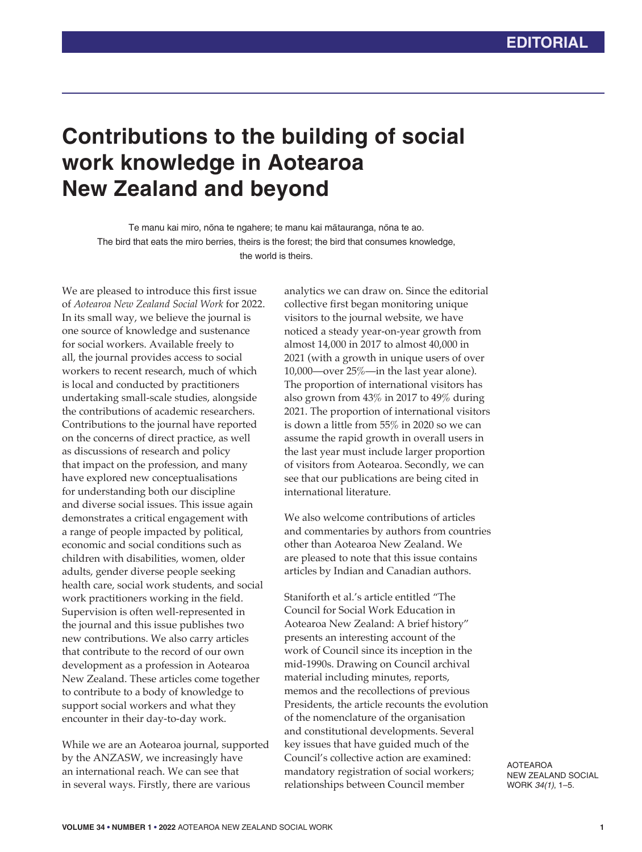## **Contributions to the building of social work knowledge in Aotearoa New Zealand and beyond**

Te manu kai miro, nōna te ngahere; te manu kai mātauranga, nōna te ao. The bird that eats the miro berries, theirs is the forest; the bird that consumes knowledge, the world is theirs.

We are pleased to introduce this first issue of *Aotearoa New Zealand Social Work* for 2022. In its small way, we believe the journal is one source of knowledge and sustenance for social workers. Available freely to all, the journal provides access to social workers to recent research, much of which is local and conducted by practitioners undertaking small-scale studies, alongside the contributions of academic researchers. Contributions to the journal have reported on the concerns of direct practice, as well as discussions of research and policy that impact on the profession, and many have explored new conceptualisations for understanding both our discipline and diverse social issues. This issue again demonstrates a critical engagement with a range of people impacted by political, economic and social conditions such as children with disabilities, women, older adults, gender diverse people seeking health care, social work students, and social work practitioners working in the field. Supervision is often well-represented in the journal and this issue publishes two new contributions. We also carry articles that contribute to the record of our own development as a profession in Aotearoa New Zealand. These articles come together to contribute to a body of knowledge to support social workers and what they encounter in their day-to-day work.

While we are an Aotearoa journal, supported by the ANZASW, we increasingly have an international reach. We can see that in several ways. Firstly, there are various

analytics we can draw on. Since the editorial collective first began monitoring unique visitors to the journal website, we have noticed a steady year-on-year growth from almost 14,000 in 2017 to almost 40,000 in 2021 (with a growth in unique users of over 10,000—over 25%—in the last year alone). The proportion of international visitors has also grown from 43% in 2017 to 49% during 2021. The proportion of international visitors is down a little from 55% in 2020 so we can assume the rapid growth in overall users in the last year must include larger proportion of visitors from Aotearoa. Secondly, we can see that our publications are being cited in international literature.

We also welcome contributions of articles and commentaries by authors from countries other than Aotearoa New Zealand. We are pleased to note that this issue contains articles by Indian and Canadian authors.

Staniforth et al.'s article entitled "The Council for Social Work Education in Aotearoa New Zealand: A brief history" presents an interesting account of the work of Council since its inception in the mid-1990s. Drawing on Council archival material including minutes, reports, memos and the recollections of previous Presidents, the article recounts the evolution of the nomenclature of the organisation and constitutional developments. Several key issues that have guided much of the Council's collective action are examined: mandatory registration of social workers; relationships between Council member

AOTEAROA NEW ZEALAND SOCIAL WORK *34(1)*, 1–5.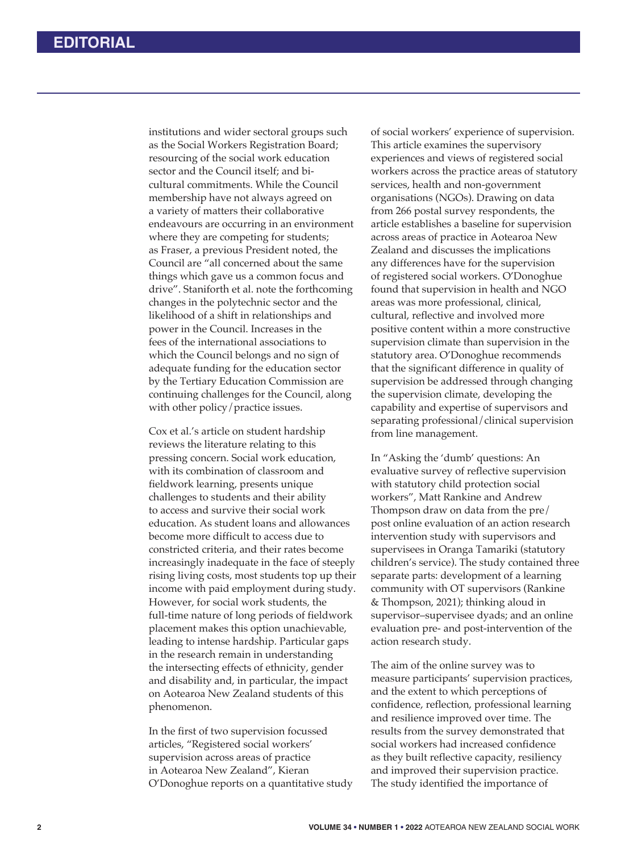institutions and wider sectoral groups such as the Social Workers Registration Board; resourcing of the social work education sector and the Council itself; and bicultural commitments. While the Council membership have not always agreed on a variety of matters their collaborative endeavours are occurring in an environment where they are competing for students; as Fraser, a previous President noted, the Council are "all concerned about the same things which gave us a common focus and drive". Staniforth et al. note the forthcoming changes in the polytechnic sector and the likelihood of a shift in relationships and power in the Council. Increases in the fees of the international associations to which the Council belongs and no sign of adequate funding for the education sector by the Tertiary Education Commission are continuing challenges for the Council, along with other policy/practice issues.

Cox et al.'s article on student hardship reviews the literature relating to this pressing concern. Social work education, with its combination of classroom and fieldwork learning, presents unique challenges to students and their ability to access and survive their social work education. As student loans and allowances become more difficult to access due to constricted criteria, and their rates become increasingly inadequate in the face of steeply rising living costs, most students top up their income with paid employment during study. However, for social work students, the full-time nature of long periods of fieldwork placement makes this option unachievable, leading to intense hardship. Particular gaps in the research remain in understanding the intersecting effects of ethnicity, gender and disability and, in particular, the impact on Aotearoa New Zealand students of this phenomenon.

In the first of two supervision focussed articles, "Registered social workers' supervision across areas of practice in Aotearoa New Zealand", Kieran O'Donoghue reports on a quantitative study of social workers' experience of supervision. This article examines the supervisory experiences and views of registered social workers across the practice areas of statutory services, health and non-government organisations (NGOs). Drawing on data from 266 postal survey respondents, the article establishes a baseline for supervision across areas of practice in Aotearoa New Zealand and discusses the implications any differences have for the supervision of registered social workers. O'Donoghue found that supervision in health and NGO areas was more professional, clinical, cultural, reflective and involved more positive content within a more constructive supervision climate than supervision in the statutory area. O'Donoghue recommends that the significant difference in quality of supervision be addressed through changing the supervision climate, developing the capability and expertise of supervisors and separating professional/clinical supervision from line management.

In "Asking the 'dumb' questions: An evaluative survey of reflective supervision with statutory child protection social workers", Matt Rankine and Andrew Thompson draw on data from the pre/ post online evaluation of an action research intervention study with supervisors and supervisees in Oranga Tamariki (statutory children's service). The study contained three separate parts: development of a learning community with OT supervisors (Rankine & Thompson, 2021); thinking aloud in supervisor–supervisee dyads; and an online evaluation pre- and post-intervention of the action research study.

The aim of the online survey was to measure participants' supervision practices, and the extent to which perceptions of confidence, reflection, professional learning and resilience improved over time. The results from the survey demonstrated that social workers had increased confidence as they built reflective capacity, resiliency and improved their supervision practice. The study identified the importance of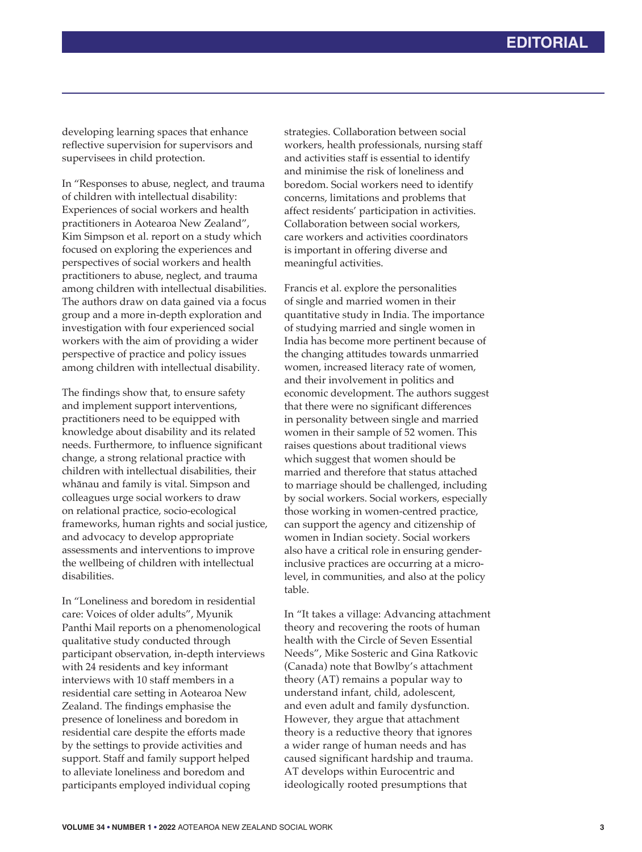developing learning spaces that enhance reflective supervision for supervisors and supervisees in child protection.

In "Responses to abuse, neglect, and trauma of children with intellectual disability: Experiences of social workers and health practitioners in Aotearoa New Zealand", Kim Simpson et al. report on a study which focused on exploring the experiences and perspectives of social workers and health practitioners to abuse, neglect, and trauma among children with intellectual disabilities. The authors draw on data gained via a focus group and a more in-depth exploration and investigation with four experienced social workers with the aim of providing a wider perspective of practice and policy issues among children with intellectual disability.

The findings show that, to ensure safety and implement support interventions, practitioners need to be equipped with knowledge about disability and its related needs. Furthermore, to influence significant change, a strong relational practice with children with intellectual disabilities, their whānau and family is vital. Simpson and colleagues urge social workers to draw on relational practice, socio-ecological frameworks, human rights and social justice, and advocacy to develop appropriate assessments and interventions to improve the wellbeing of children with intellectual disabilities.

In "Loneliness and boredom in residential care: Voices of older adults", Myunik Panthi Mail reports on a phenomenological qualitative study conducted through participant observation, in-depth interviews with 24 residents and key informant interviews with 10 staff members in a residential care setting in Aotearoa New Zealand. The findings emphasise the presence of loneliness and boredom in residential care despite the efforts made by the settings to provide activities and support. Staff and family support helped to alleviate loneliness and boredom and participants employed individual coping

strategies. Collaboration between social workers, health professionals, nursing staff and activities staff is essential to identify and minimise the risk of loneliness and boredom. Social workers need to identify concerns, limitations and problems that affect residents' participation in activities. Collaboration between social workers, care workers and activities coordinators is important in offering diverse and meaningful activities.

Francis et al. explore the personalities of single and married women in their quantitative study in India. The importance of studying married and single women in India has become more pertinent because of the changing attitudes towards unmarried women, increased literacy rate of women, and their involvement in politics and economic development. The authors suggest that there were no significant differences in personality between single and married women in their sample of 52 women. This raises questions about traditional views which suggest that women should be married and therefore that status attached to marriage should be challenged, including by social workers. Social workers, especially those working in women-centred practice, can support the agency and citizenship of women in Indian society. Social workers also have a critical role in ensuring genderinclusive practices are occurring at a microlevel, in communities, and also at the policy table.

In "It takes a village: Advancing attachment theory and recovering the roots of human health with the Circle of Seven Essential Needs", Mike Sosteric and Gina Ratkovic (Canada) note that Bowlby's attachment theory (AT) remains a popular way to understand infant, child, adolescent, and even adult and family dysfunction. However, they argue that attachment theory is a reductive theory that ignores a wider range of human needs and has caused significant hardship and trauma. AT develops within Eurocentric and ideologically rooted presumptions that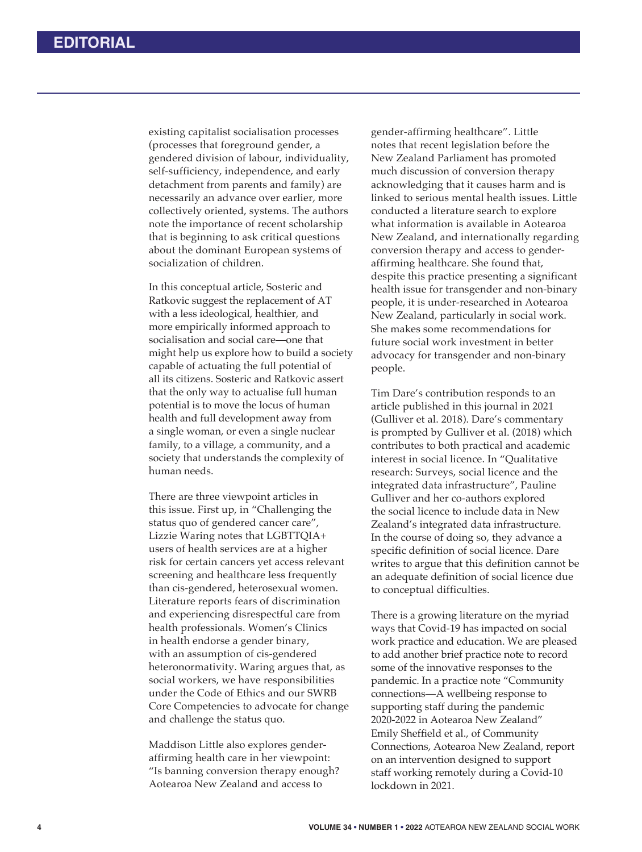existing capitalist socialisation processes (processes that foreground gender, a gendered division of labour, individuality, self-sufficiency, independence, and early detachment from parents and family) are necessarily an advance over earlier, more collectively oriented, systems. The authors note the importance of recent scholarship that is beginning to ask critical questions about the dominant European systems of socialization of children.

In this conceptual article, Sosteric and Ratkovic suggest the replacement of AT with a less ideological, healthier, and more empirically informed approach to socialisation and social care—one that might help us explore how to build a society capable of actuating the full potential of all its citizens. Sosteric and Ratkovic assert that the only way to actualise full human potential is to move the locus of human health and full development away from a single woman, or even a single nuclear family, to a village, a community, and a society that understands the complexity of human needs.

There are three viewpoint articles in this issue. First up, in "Challenging the status quo of gendered cancer care", Lizzie Waring notes that LGBTTQIA+ users of health services are at a higher risk for certain cancers yet access relevant screening and healthcare less frequently than cis-gendered, heterosexual women. Literature reports fears of discrimination and experiencing disrespectful care from health professionals. Women's Clinics in health endorse a gender binary, with an assumption of cis-gendered heteronormativity. Waring argues that, as social workers, we have responsibilities under the Code of Ethics and our SWRB Core Competencies to advocate for change and challenge the status quo.

Maddison Little also explores genderaffirming health care in her viewpoint: "Is banning conversion therapy enough? Aotearoa New Zealand and access to

gender-affirming healthcare". Little notes that recent legislation before the New Zealand Parliament has promoted much discussion of conversion therapy acknowledging that it causes harm and is linked to serious mental health issues. Little conducted a literature search to explore what information is available in Aotearoa New Zealand, and internationally regarding conversion therapy and access to genderaffirming healthcare. She found that, despite this practice presenting a significant health issue for transgender and non-binary people, it is under-researched in Aotearoa New Zealand, particularly in social work. She makes some recommendations for future social work investment in better advocacy for transgender and non-binary people.

Tim Dare's contribution responds to an article published in this journal in 2021 (Gulliver et al. 2018). Dare's commentary is prompted by Gulliver et al. (2018) which contributes to both practical and academic interest in social licence. In "Qualitative research: Surveys, social licence and the integrated data infrastructure", Pauline Gulliver and her co-authors explored the social licence to include data in New Zealand's integrated data infrastructure. In the course of doing so, they advance a specific definition of social licence. Dare writes to argue that this definition cannot be an adequate definition of social licence due to conceptual difficulties.

There is a growing literature on the myriad ways that Covid-19 has impacted on social work practice and education. We are pleased to add another brief practice note to record some of the innovative responses to the pandemic. In a practice note "Community connections—A wellbeing response to supporting staff during the pandemic 2020-2022 in Aotearoa New Zealand" Emily Sheffield et al., of Community Connections, Aotearoa New Zealand, report on an intervention designed to support staff working remotely during a Covid-10 lockdown in 2021.